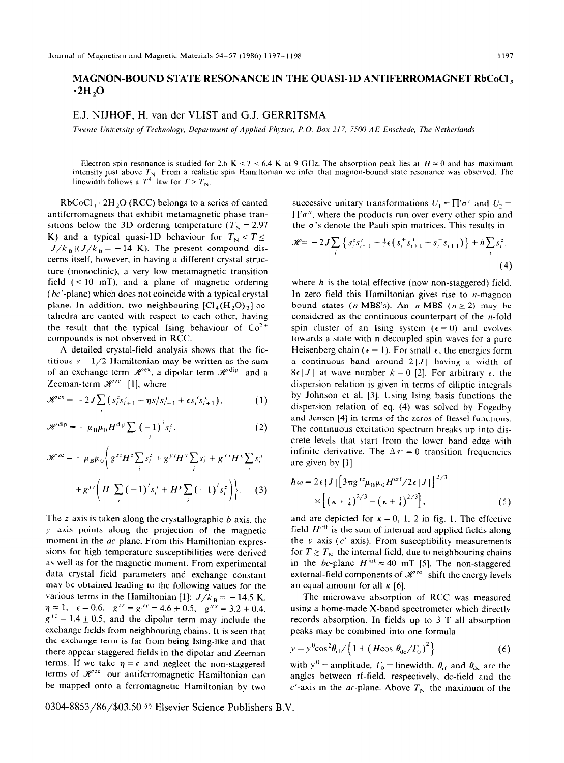## MAGNON-BOUND STATE RESONANCE IN THE QUASI-ID ANTIFERROMAGNET RbCoCI,  $\cdot$ 2H,O

E.J. NIJHOF, H. van der VLIST and G.J. GERRITSMA

*Twente University of Technology, Department of Applied Physics, P.O. Box 217, 7500 AE Enschede, The Netherlands* 

Electron spin resonance is studied for 2.6 K  $\lt$  *T*  $\lt$  6.4 K at 9 GHz. The absorption peak lies at  $H \approx 0$  and has maximum intensity just above  $T_N$ . From a realistic spin Hamiltonian we infer that magnon-bound state resonance was observed. The linewidth-follows a  $T^4$  law for  $T > T_N$ .

 $RbCoCl<sub>3</sub> \cdot 2H<sub>3</sub>O (RCC)$  belongs to a series of canted antiferromagnets that exhibit metamagnetic phase transitions below the 3D ordering temperature ( $T<sub>N</sub> = 2.97$ ) K) and a typical quasi-1D behaviour for  $T<sub>N</sub> < T \le$  $|J/k_B|(J/k_B = -14 \text{ K})$ . The present compound discerns itself, however, in having a different crystal structure (monoclinic), a very low metamagnetic transition field  $(< 10$  mT), and a plane of magnetic ordering  $(bc'$ -plane) which does not coincide with a typical crystal plane. In addition, two neighbouring  $\left[Cl_{4}(H, O)\right]$ , l-octahedra are canted with respect to each other, having the result that the typical Ising behaviour of  $Co^{2+}$ compounds is not observed in RCC.

A detailed crystal-field analysis shows that the fictitious  $s = 1/2$  Hamiltonian may be written as the sum of an exchange term  $\mathcal{H}^{\text{ex}}$ , a dipolar term  $\mathcal{H}^{\text{dip}}$  and a Zeeman-term  $\mathcal{H}^{ze}$  [1], where

$$
\mathscr{H}^{\text{ex}} = -2J \sum_{i} \left( s_i^z s_{i+1}^z + \eta s_i^y s_{i+1}^y + \epsilon s_i^x s_{i+1}^x \right), \tag{1}
$$

$$
\mathscr{H}^{\text{dip}} = -\mu_{\text{B}}\mu_0 H^{\text{dip}} \sum_i \left(-1\right)^i s_i^z, \tag{2}
$$

$$
\mathcal{H}^{ze} = -\mu_B \mu_0 \left\{ g^{zz} H^z \sum_i s_i^z + g^{xy} H^y \sum_i s_i^z + g^{xx} H^x \sum_i s_i^x + g^{yz} \left( H^z \sum_i \left( -1 \right)^i s_i^y + H^y \sum_i \left( -1 \right)^i s_i^z \right) \right\}. \tag{3}
$$

The  $z$  axis is taken along the crystallographic  $b$  axis, the y axis points along the projection of the magnetic moment in the  $ac$  plane. From this Hamiltonian expressions for high temperature susceptibilities were derived as well as for the magnetic moment. From experimental data crystal field parameters and exchange constant may be obtained leading to the following values for the various terms in the Hamiltonian [1]:  $J/k_B = -14.5$  K,  $\eta \approx 1, \quad \epsilon = 0.6, \quad g^{zz} = g^{yy} = 4.6 \pm 0.5, \quad g^{xx} = 3.2 \pm 0.4,$  $g^{yz} = 1.4 \pm 0.5$ , and the dipolar term may include the exchange fields from neighbouring chains. It is seen that the exchange term is far from being Ising-like and that there appear staggered fields in the dipolar and Zeeman terms. If we take  $\eta = \epsilon$  and neglect the non-staggered terms of  $\mathcal{H}^{ze}$  our antiferromagnetic Hamiltonian can be mapped onto a ferromagnetic Hamiltonian by two

successive unitary transformations  $U_1 = \prod' \sigma^2$  and  $U_2 =$  $\prod' \sigma^x$ , where the products run over every other spin and the  $\sigma$ 's denote the Pauli spin matrices. This results in

$$
\mathcal{H} = -2J \sum_{i} \left\{ s_{i}^{z} s_{i+1}^{z} + \frac{1}{2} \epsilon \left( s_{i}^{+} s_{i+1}^{+} + s_{i}^{-} s_{i+1}^{-} \right) \right\} + h \sum_{i} s_{i}^{z}, \tag{4}
$$

where *h* is the total effective (now non-staggered) field. In zero field this Hamiltonian gives rise to n-magnon bound states (*n*-MBS's). An *n*-MBS ( $n \ge 2$ ) may be considered as the continuous counterpart of the  $n$ -fold spin cluster of an Ising system ( $\epsilon = 0$ ) and evolves towards a state with n decoupled spin waves for a pure Heisenberg chain ( $\epsilon = 1$ ). For small  $\epsilon$ , the energies form a continuous band around  $2|J|$  having a width of  $8\epsilon$  *J* | at wave number  $k = 0$  [2]. For arbitrary  $\epsilon$ , the dispersion relation is given in terms of elliptic integrals by Johnson et al. [3]. Using Ising basis functions the dispersion relation of eq. (4) was solved by Fogedby and Jensen [4] in terms of the zeros of Bessel functions. The continuous excitation spectrum breaks up into discrete levels that start from the lower band edge with infinite derivative. The  $\Delta s^2 = 0$  transition frequencies are given by [l]

$$
\hbar \omega = 2\epsilon |J| \left[ 3\pi g^{yz} \mu_B \mu_0 H^{\text{eff}} / 2\epsilon |J| \right]^{2/3}
$$
  
 
$$
\times \left[ \left( \kappa + \frac{7}{4} \right)^{2/3} - \left( \kappa + \frac{3}{4} \right)^{2/3} \right],
$$
 (5)

and are depicted for  $\kappa = 0, 1, 2$  in fig. 1. The effective field  $H^{\text{eff}}$  is the sum of internal and applied fields along the  $y$  axis ( $c'$  axis). From susceptibility measurements for  $T \geq T_N$  the internal field, due to neighbouring chains in the bc-plane  $H^{\text{int}} \approx 40 \text{ mT}$  [5]. The non-staggered external-field components of  $\mathcal{H}^{ze}$  shift the energy levels an equal amount for all  $\kappa$  [6].

The microwave absorption of RCC was measured using a home-made X-band spectrometer which directly records absorption. In fields up to 3 T all absorption peaks may be combined into one formula

$$
y = y^{0} \cos^{2} \theta_{\text{rf}} / \left\{ 1 + \left( H \cos \theta_{\text{dc}} / T_{0} \right)^{2} \right\}
$$
 (6)

with  $y^0$  = amplitude,  $\Gamma_0$  = linewidth,  $\theta_{rf}$  and  $\theta_{dc}$  are the angles between rf-field, respectively, dc-field and the  $c'$ -axis in the *ac*-plane. Above  $T_N$  the maximum of the

0304-8853/86/\$03.50 © Elsevier Science Publishers B.V.